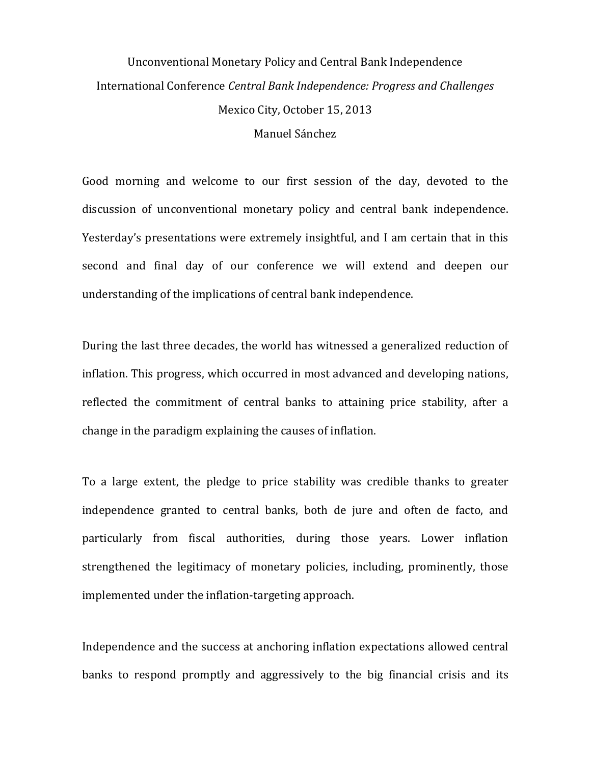## Unconventional Monetary Policy and Central Bank Independence International Conference *Central Bank Independence: Progress and Challenges* Mexico City, October 15, 2013 Manuel Sánchez

Good morning and welcome to our first session of the day, devoted to the discussion of unconventional monetary policy and central bank independence. Yesterday's presentations were extremely insightful, and I am certain that in this second and final day of our conference we will extend and deepen our understanding of the implications of central bank independence.

During the last three decades, the world has witnessed a generalized reduction of inflation. This progress, which occurred in most advanced and developing nations, reflected the commitment of central banks to attaining price stability, after a change in the paradigm explaining the causes of inflation.

To a large extent, the pledge to price stability was credible thanks to greater independence granted to central banks, both de jure and often de facto, and particularly from fiscal authorities, during those years. Lower inflation strengthened the legitimacy of monetary policies, including, prominently, those implemented under the inflation-targeting approach.

Independence and the success at anchoring inflation expectations allowed central banks to respond promptly and aggressively to the big financial crisis and its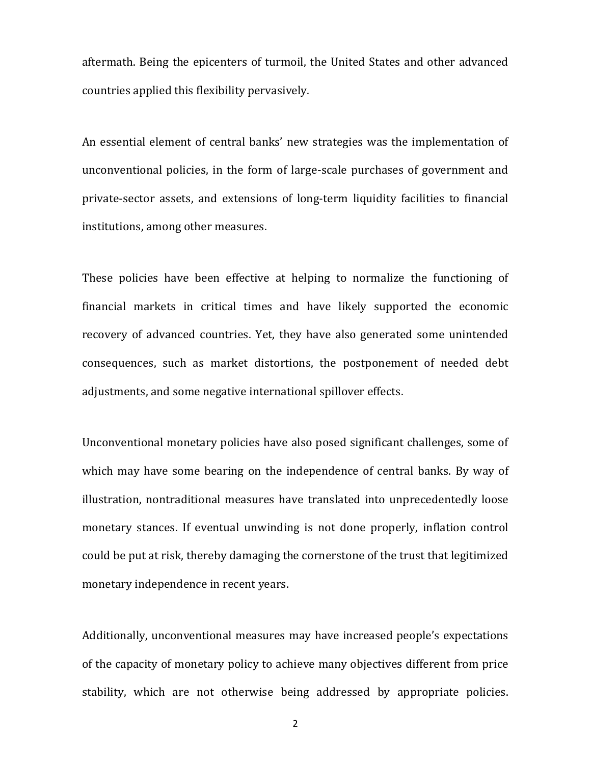aftermath. Being the epicenters of turmoil, the United States and other advanced countries applied this flexibility pervasively.

An essential element of central banks' new strategies was the implementation of unconventional policies, in the form of large-scale purchases of government and private-sector assets, and extensions of long-term liquidity facilities to financial institutions, among other measures.

These policies have been effective at helping to normalize the functioning of financial markets in critical times and have likely supported the economic recovery of advanced countries. Yet, they have also generated some unintended consequences, such as market distortions, the postponement of needed debt adjustments, and some negative international spillover effects.

Unconventional monetary policies have also posed significant challenges, some of which may have some bearing on the independence of central banks. By way of illustration, nontraditional measures have translated into unprecedentedly loose monetary stances. If eventual unwinding is not done properly, inflation control could be put at risk, thereby damaging the cornerstone of the trust that legitimized monetary independence in recent years.

Additionally, unconventional measures may have increased people's expectations of the capacity of monetary policy to achieve many objectives different from price stability, which are not otherwise being addressed by appropriate policies.

2